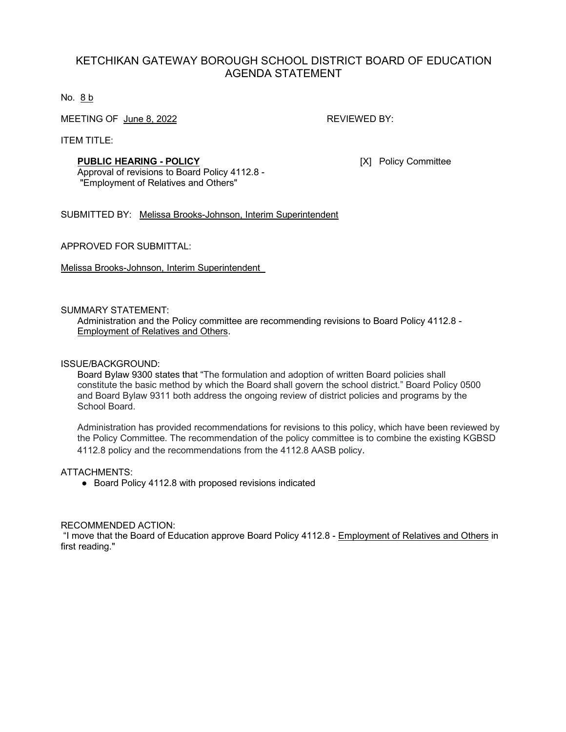## KETCHIKAN GATEWAY BOROUGH SCHOOL DISTRICT BOARD OF EDUCATION AGENDA STATEMENT

No. 8 b

MEETING OF June 8, 2022 REVIEWED BY:

ITEM TITLE:

## **PUBLIC HEARING - POLICY** [X] Policy Committee

Approval of revisions to Board Policy 4112.8 - "Employment of Relatives and Others"

SUBMITTED BY: Melissa Brooks-Johnson, Interim Superintendent

APPROVED FOR SUBMITTAL:

Melissa Brooks-Johnson, Interim Superintendent

### SUMMARY STATEMENT:

Administration and the Policy committee are recommending revisions to Board Policy 4112.8 - Employment of Relatives and Others.

### ISSUE/BACKGROUND:

Board Bylaw 9300 states that "The formulation and adoption of written Board policies shall constitute the basic method by which the Board shall govern the school district." Board Policy 0500 and Board Bylaw 9311 both address the ongoing review of district policies and programs by the School Board.

Administration has provided recommendations for revisions to this policy, which have been reviewed by the Policy Committee. The recommendation of the policy committee is to combine the existing KGBSD 4112.8 policy and the recommendations from the 4112.8 AASB policy.

## ATTACHMENTS:

● Board Policy 4112.8 with proposed revisions indicated

### RECOMMENDED ACTION:

"I move that the Board of Education approve Board Policy 4112.8 - Employment of Relatives and Others in first reading."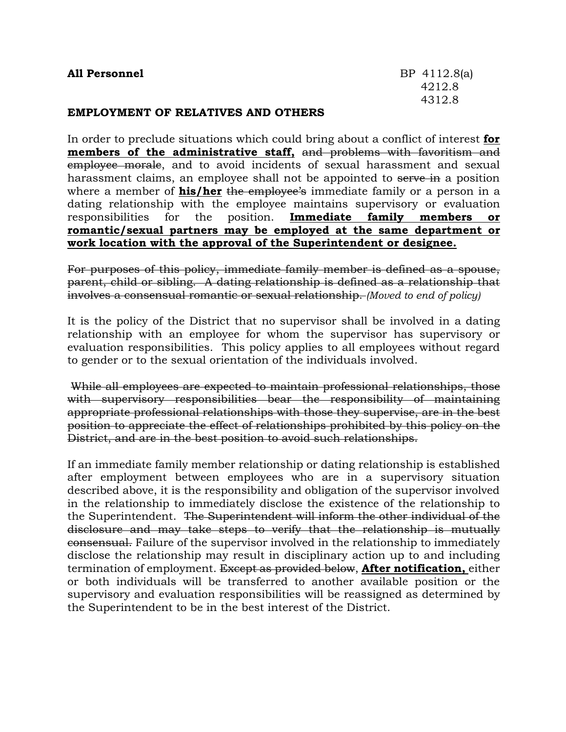| <b>All Personnel</b>                      | BP 4112.8(a) |
|-------------------------------------------|--------------|
|                                           | 4212.8       |
|                                           | 4312.8       |
| <b>EMPLOYMENT OF RELATIVES AND OTHERS</b> |              |

In order to preclude situations which could bring about a conflict of interest **for members of the administrative staff,** and problems with favoritism and employee morale, and to avoid incidents of sexual harassment and sexual harassment claims, an employee shall not be appointed to serve in a position where a member of **his/her** the employee's immediate family or a person in a dating relationship with the employee maintains supervisory or evaluation responsibilities for the position. **Immediate family members romantic/sexual partners may be employed at the same department or work location with the approval of the Superintendent or designee.**

For purposes of this policy, immediate family member is defined as a spouse, parent, child or sibling. A dating relationship is defined as a relationship that involves a consensual romantic or sexual relationship. *(Moved to end of policy)*

It is the policy of the District that no supervisor shall be involved in a dating relationship with an employee for whom the supervisor has supervisory or evaluation responsibilities. This policy applies to all employees without regard to gender or to the sexual orientation of the individuals involved.

While all employees are expected to maintain professional relationships, those with supervisory responsibilities bear the responsibility of maintaining appropriate professional relationships with those they supervise, are in the best position to appreciate the effect of relationships prohibited by this policy on the District, and are in the best position to avoid such relationships.

If an immediate family member relationship or dating relationship is established after employment between employees who are in a supervisory situation described above, it is the responsibility and obligation of the supervisor involved in the relationship to immediately disclose the existence of the relationship to the Superintendent. The Superintendent will inform the other individual of the disclosure and may take steps to verify that the relationship is mutually consensual. Failure of the supervisor involved in the relationship to immediately disclose the relationship may result in disciplinary action up to and including termination of employment. Except as provided below, **After notification,** either or both individuals will be transferred to another available position or the supervisory and evaluation responsibilities will be reassigned as determined by the Superintendent to be in the best interest of the District.